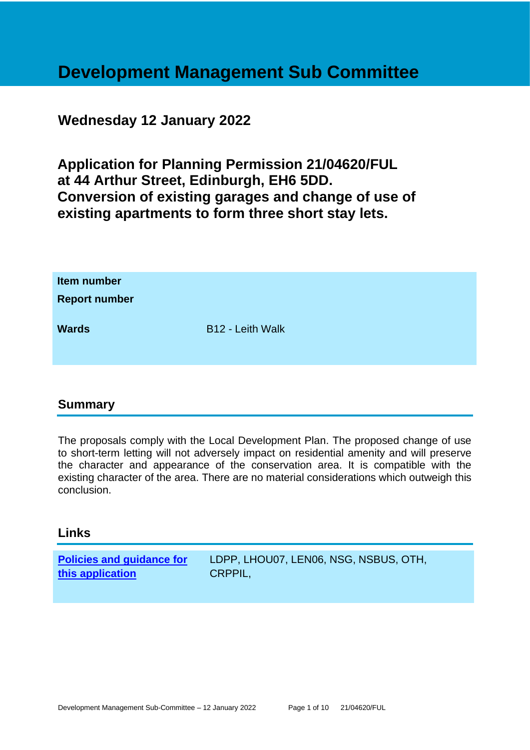## **Development Management Sub Committee**

### **Wednesday 12 January 2022**

**Application for Planning Permission 21/04620/FUL at 44 Arthur Street, Edinburgh, EH6 5DD. Conversion of existing garages and change of use of existing apartments to form three short stay lets.**

| Item number<br><b>Report number</b> |                  |
|-------------------------------------|------------------|
| <b>Wards</b>                        | B12 - Leith Walk |

#### **Summary**

The proposals comply with the Local Development Plan. The proposed change of use to short-term letting will not adversely impact on residential amenity and will preserve the character and appearance of the conservation area. It is compatible with the existing character of the area. There are no material considerations which outweigh this conclusion.

#### **Links**

**[Policies and guidance for](file:///C:/uniform/temp/uf04148.rtf%23Policies)  [this application](file:///C:/uniform/temp/uf04148.rtf%23Policies)** LDPP, LHOU07, LEN06, NSG, NSBUS, OTH, CRPPIL,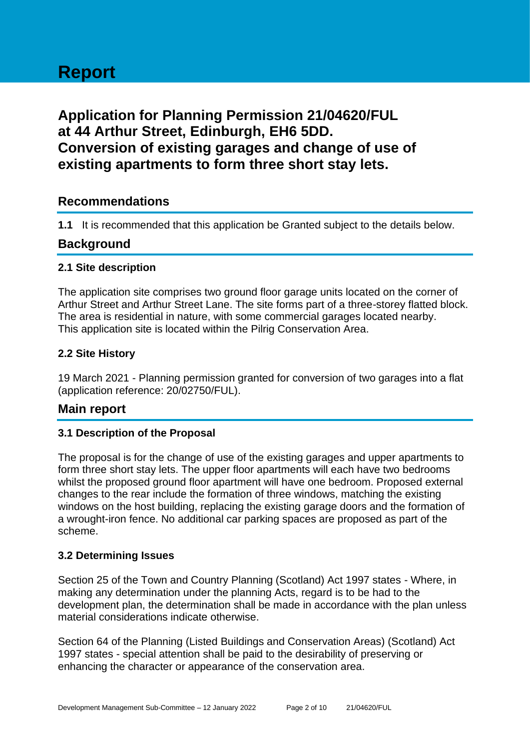# **Report**

## **Application for Planning Permission 21/04620/FUL at 44 Arthur Street, Edinburgh, EH6 5DD. Conversion of existing garages and change of use of existing apartments to form three short stay lets.**

#### **Recommendations**

**1.1** It is recommended that this application be Granted subject to the details below.

#### **Background**

#### **2.1 Site description**

The application site comprises two ground floor garage units located on the corner of Arthur Street and Arthur Street Lane. The site forms part of a three-storey flatted block. The area is residential in nature, with some commercial garages located nearby. This application site is located within the Pilrig Conservation Area.

#### **2.2 Site History**

19 March 2021 - Planning permission granted for conversion of two garages into a flat (application reference: 20/02750/FUL).

#### **Main report**

#### **3.1 Description of the Proposal**

The proposal is for the change of use of the existing garages and upper apartments to form three short stay lets. The upper floor apartments will each have two bedrooms whilst the proposed ground floor apartment will have one bedroom. Proposed external changes to the rear include the formation of three windows, matching the existing windows on the host building, replacing the existing garage doors and the formation of a wrought-iron fence. No additional car parking spaces are proposed as part of the scheme.

#### **3.2 Determining Issues**

Section 25 of the Town and Country Planning (Scotland) Act 1997 states - Where, in making any determination under the planning Acts, regard is to be had to the development plan, the determination shall be made in accordance with the plan unless material considerations indicate otherwise.

Section 64 of the Planning (Listed Buildings and Conservation Areas) (Scotland) Act 1997 states - special attention shall be paid to the desirability of preserving or enhancing the character or appearance of the conservation area.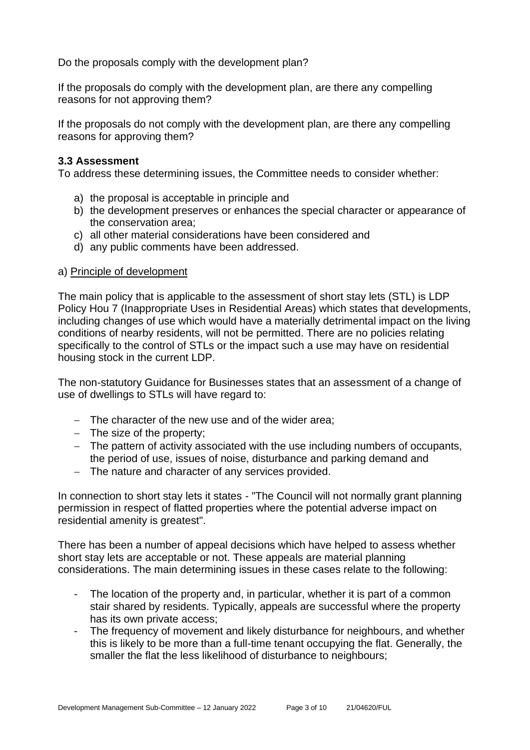Do the proposals comply with the development plan?

If the proposals do comply with the development plan, are there any compelling reasons for not approving them?

If the proposals do not comply with the development plan, are there any compelling reasons for approving them?

#### **3.3 Assessment**

To address these determining issues, the Committee needs to consider whether:

- a) the proposal is acceptable in principle and
- b) the development preserves or enhances the special character or appearance of the conservation area;
- c) all other material considerations have been considered and
- d) any public comments have been addressed.

#### a) Principle of development

The main policy that is applicable to the assessment of short stay lets (STL) is LDP Policy Hou 7 (Inappropriate Uses in Residential Areas) which states that developments, including changes of use which would have a materially detrimental impact on the living conditions of nearby residents, will not be permitted. There are no policies relating specifically to the control of STLs or the impact such a use may have on residential housing stock in the current LDP.

The non-statutory Guidance for Businesses states that an assessment of a change of use of dwellings to STLs will have regard to:

- − The character of the new use and of the wider area;
- − The size of the property;
- − The pattern of activity associated with the use including numbers of occupants, the period of use, issues of noise, disturbance and parking demand and
- − The nature and character of any services provided.

In connection to short stay lets it states - "The Council will not normally grant planning permission in respect of flatted properties where the potential adverse impact on residential amenity is greatest".

There has been a number of appeal decisions which have helped to assess whether short stay lets are acceptable or not. These appeals are material planning considerations. The main determining issues in these cases relate to the following:

- The location of the property and, in particular, whether it is part of a common stair shared by residents. Typically, appeals are successful where the property has its own private access;
- The frequency of movement and likely disturbance for neighbours, and whether this is likely to be more than a full-time tenant occupying the flat. Generally, the smaller the flat the less likelihood of disturbance to neighbours;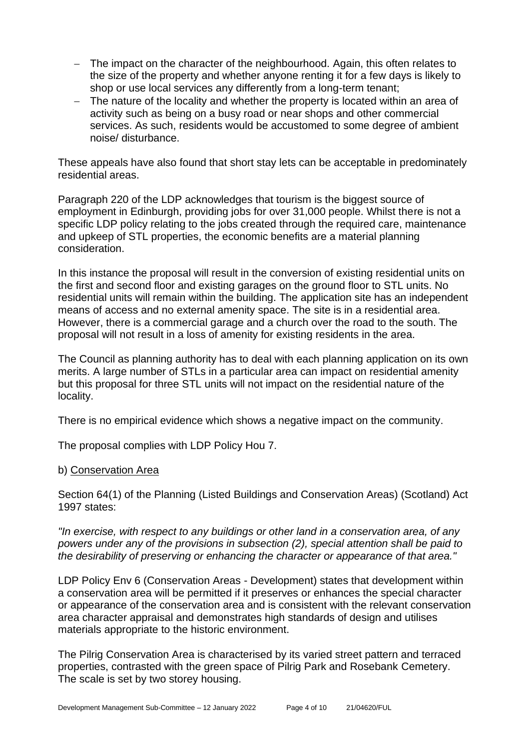- − The impact on the character of the neighbourhood. Again, this often relates to the size of the property and whether anyone renting it for a few days is likely to shop or use local services any differently from a long-term tenant;
- − The nature of the locality and whether the property is located within an area of activity such as being on a busy road or near shops and other commercial services. As such, residents would be accustomed to some degree of ambient noise/ disturbance.

These appeals have also found that short stay lets can be acceptable in predominately residential areas.

Paragraph 220 of the LDP acknowledges that tourism is the biggest source of employment in Edinburgh, providing jobs for over 31,000 people. Whilst there is not a specific LDP policy relating to the jobs created through the required care, maintenance and upkeep of STL properties, the economic benefits are a material planning consideration.

In this instance the proposal will result in the conversion of existing residential units on the first and second floor and existing garages on the ground floor to STL units. No residential units will remain within the building. The application site has an independent means of access and no external amenity space. The site is in a residential area. However, there is a commercial garage and a church over the road to the south. The proposal will not result in a loss of amenity for existing residents in the area.

The Council as planning authority has to deal with each planning application on its own merits. A large number of STLs in a particular area can impact on residential amenity but this proposal for three STL units will not impact on the residential nature of the locality.

There is no empirical evidence which shows a negative impact on the community.

The proposal complies with LDP Policy Hou 7.

#### b) Conservation Area

Section 64(1) of the Planning (Listed Buildings and Conservation Areas) (Scotland) Act 1997 states:

*"In exercise, with respect to any buildings or other land in a conservation area, of any powers under any of the provisions in subsection (2), special attention shall be paid to the desirability of preserving or enhancing the character or appearance of that area."*

LDP Policy Env 6 (Conservation Areas - Development) states that development within a conservation area will be permitted if it preserves or enhances the special character or appearance of the conservation area and is consistent with the relevant conservation area character appraisal and demonstrates high standards of design and utilises materials appropriate to the historic environment.

The Pilrig Conservation Area is characterised by its varied street pattern and terraced properties, contrasted with the green space of Pilrig Park and Rosebank Cemetery. The scale is set by two storey housing.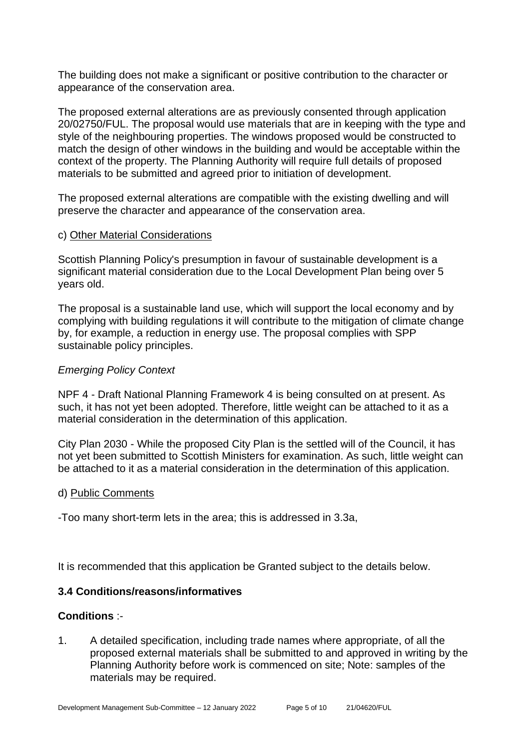The building does not make a significant or positive contribution to the character or appearance of the conservation area.

The proposed external alterations are as previously consented through application 20/02750/FUL. The proposal would use materials that are in keeping with the type and style of the neighbouring properties. The windows proposed would be constructed to match the design of other windows in the building and would be acceptable within the context of the property. The Planning Authority will require full details of proposed materials to be submitted and agreed prior to initiation of development.

The proposed external alterations are compatible with the existing dwelling and will preserve the character and appearance of the conservation area.

#### c) Other Material Considerations

Scottish Planning Policy's presumption in favour of sustainable development is a significant material consideration due to the Local Development Plan being over 5 years old.

The proposal is a sustainable land use, which will support the local economy and by complying with building regulations it will contribute to the mitigation of climate change by, for example, a reduction in energy use. The proposal complies with SPP sustainable policy principles.

#### *Emerging Policy Context*

NPF 4 - Draft National Planning Framework 4 is being consulted on at present. As such, it has not yet been adopted. Therefore, little weight can be attached to it as a material consideration in the determination of this application.

City Plan 2030 - While the proposed City Plan is the settled will of the Council, it has not yet been submitted to Scottish Ministers for examination. As such, little weight can be attached to it as a material consideration in the determination of this application.

#### d) Public Comments

-Too many short-term lets in the area; this is addressed in 3.3a,

It is recommended that this application be Granted subject to the details below.

#### **3.4 Conditions/reasons/informatives**

#### **Conditions** :-

1. A detailed specification, including trade names where appropriate, of all the proposed external materials shall be submitted to and approved in writing by the Planning Authority before work is commenced on site; Note: samples of the materials may be required.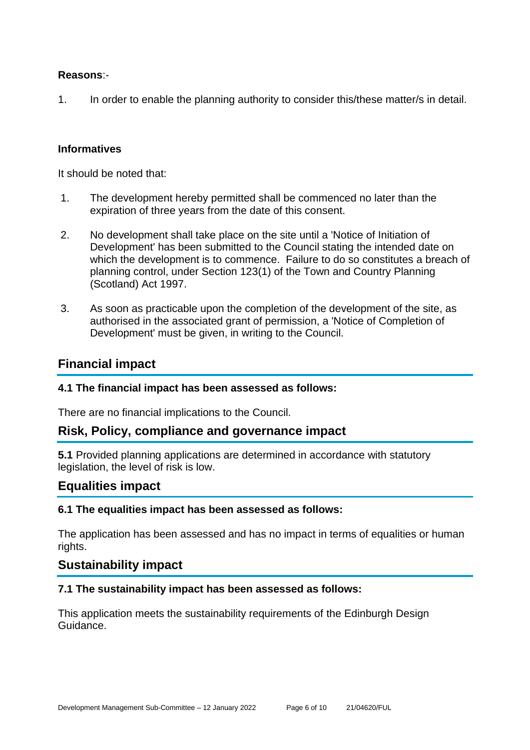#### **Reasons**:-

1. In order to enable the planning authority to consider this/these matter/s in detail.

#### **Informatives**

It should be noted that:

- 1. The development hereby permitted shall be commenced no later than the expiration of three years from the date of this consent.
- 2. No development shall take place on the site until a 'Notice of Initiation of Development' has been submitted to the Council stating the intended date on which the development is to commence. Failure to do so constitutes a breach of planning control, under Section 123(1) of the Town and Country Planning (Scotland) Act 1997.
- 3. As soon as practicable upon the completion of the development of the site, as authorised in the associated grant of permission, a 'Notice of Completion of Development' must be given, in writing to the Council.

#### **Financial impact**

#### **4.1 The financial impact has been assessed as follows:**

There are no financial implications to the Council.

#### **Risk, Policy, compliance and governance impact**

**5.1** Provided planning applications are determined in accordance with statutory legislation, the level of risk is low.

#### **Equalities impact**

#### **6.1 The equalities impact has been assessed as follows:**

The application has been assessed and has no impact in terms of equalities or human rights.

#### **Sustainability impact**

#### **7.1 The sustainability impact has been assessed as follows:**

This application meets the sustainability requirements of the Edinburgh Design Guidance.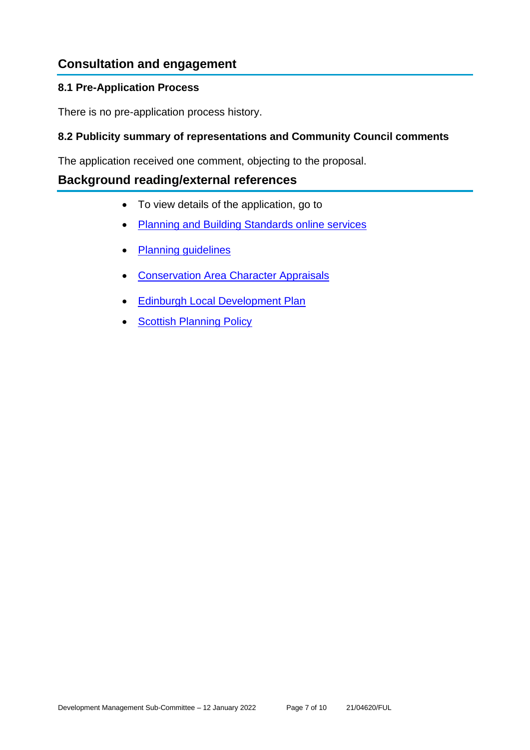## **Consultation and engagement**

#### **8.1 Pre-Application Process**

There is no pre-application process history.

#### **8.2 Publicity summary of representations and Community Council comments**

The application received one comment, objecting to the proposal.

#### **Background reading/external references**

- To view details of the application, go to
- [Planning and Building Standards online services](https://citydev-portal.edinburgh.gov.uk/idoxpa-web/search.do?action=simple&searchType=Application)
- [Planning guidelines](http://www.edinburgh.gov.uk/planningguidelines)
- [Conservation Area Character Appraisals](http://www.edinburgh.gov.uk/characterappraisals)
- [Edinburgh Local Development Plan](http://www.edinburgh.gov.uk/localdevelopmentplan)
- **[Scottish Planning Policy](http://www.scotland.gov.uk/Topics/Built-Environment/planning/Policy)**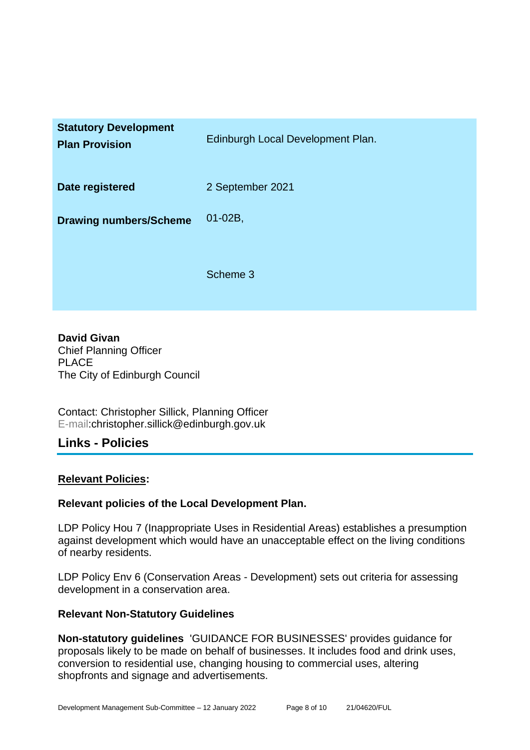| <b>Statutory Development</b><br><b>Plan Provision</b> | Edinburgh Local Development Plan. |
|-------------------------------------------------------|-----------------------------------|
| Date registered                                       | 2 September 2021                  |
| <b>Drawing numbers/Scheme</b>                         | $01-02B$ ,                        |
|                                                       | Scheme 3                          |

**David Givan** Chief Planning Officer PLACE The City of Edinburgh Council

Contact: Christopher Sillick, Planning Officer E-mail:christopher.sillick@edinburgh.gov.uk

#### **Links - Policies**

#### **Relevant Policies:**

#### **Relevant policies of the Local Development Plan.**

LDP Policy Hou 7 (Inappropriate Uses in Residential Areas) establishes a presumption against development which would have an unacceptable effect on the living conditions of nearby residents.

LDP Policy Env 6 (Conservation Areas - Development) sets out criteria for assessing development in a conservation area.

#### **Relevant Non-Statutory Guidelines**

**Non-statutory guidelines** 'GUIDANCE FOR BUSINESSES' provides guidance for proposals likely to be made on behalf of businesses. It includes food and drink uses, conversion to residential use, changing housing to commercial uses, altering shopfronts and signage and advertisements.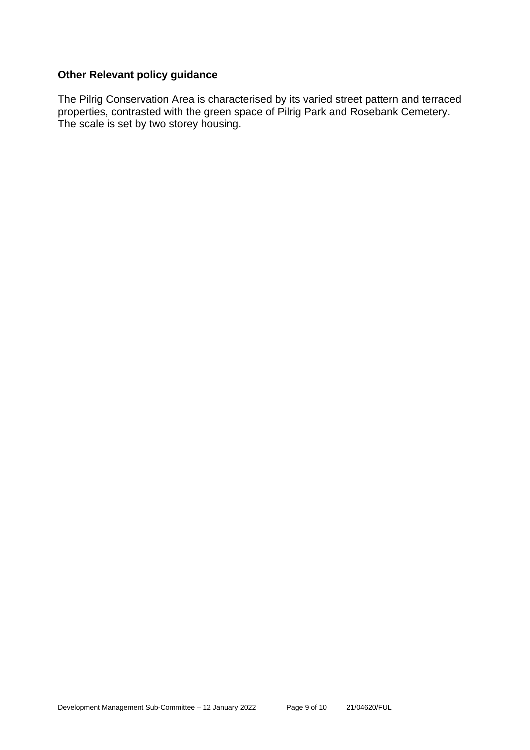#### **Other Relevant policy guidance**

The Pilrig Conservation Area is characterised by its varied street pattern and terraced properties, contrasted with the green space of Pilrig Park and Rosebank Cemetery. The scale is set by two storey housing.